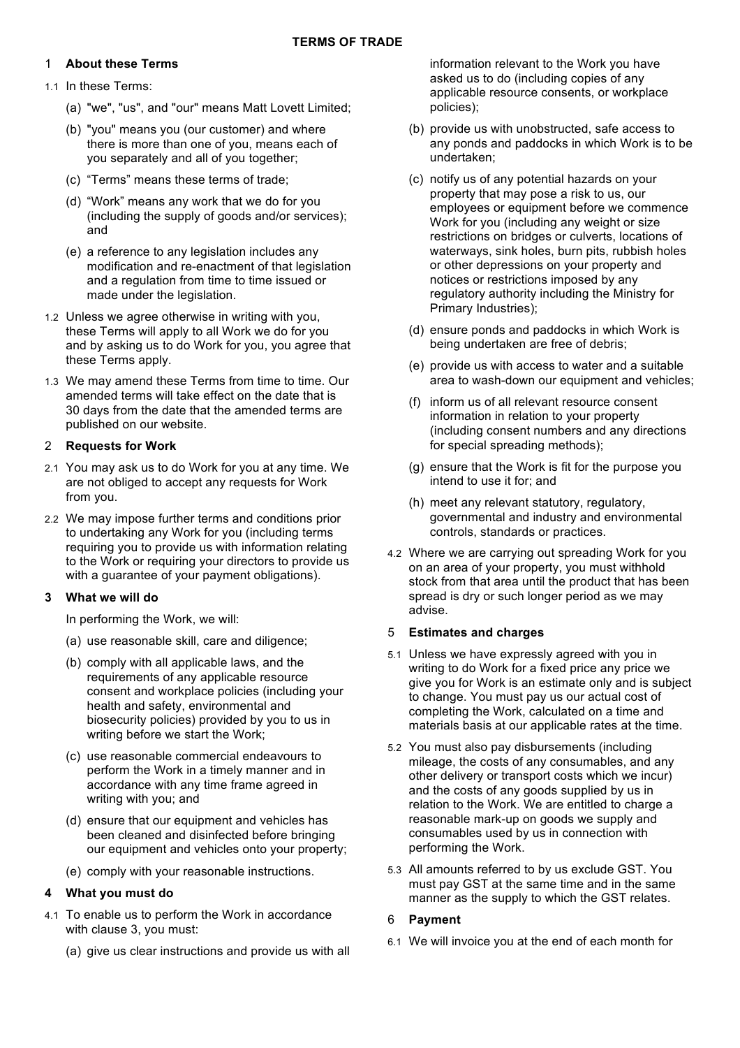# 1 **About these Terms**

- 1.1 In these Terms:
	- (a) "we", "us", and "our" means Matt Lovett Limited;
	- (b) "you" means you (our customer) and where there is more than one of you, means each of you separately and all of you together;
	- (c) "Terms" means these terms of trade;
	- (d) "Work" means any work that we do for you (including the supply of goods and/or services); and
	- (e) a reference to any legislation includes any modification and re-enactment of that legislation and a regulation from time to time issued or made under the legislation.
- 1.2 Unless we agree otherwise in writing with you, these Terms will apply to all Work we do for you and by asking us to do Work for you, you agree that these Terms apply.
- 1.3 We may amend these Terms from time to time. Our amended terms will take effect on the date that is 30 days from the date that the amended terms are published on our website.

# 2 **Requests for Work**

- 2.1 You may ask us to do Work for you at any time. We are not obliged to accept any requests for Work from you.
- 2.2 We may impose further terms and conditions prior to undertaking any Work for you (including terms requiring you to provide us with information relating to the Work or requiring your directors to provide us with a guarantee of your payment obligations).

# **3 What we will do**

In performing the Work, we will:

- (a) use reasonable skill, care and diligence;
- (b) comply with all applicable laws, and the requirements of any applicable resource consent and workplace policies (including your health and safety, environmental and biosecurity policies) provided by you to us in writing before we start the Work;
- (c) use reasonable commercial endeavours to perform the Work in a timely manner and in accordance with any time frame agreed in writing with you; and
- (d) ensure that our equipment and vehicles has been cleaned and disinfected before bringing our equipment and vehicles onto your property;
- (e) comply with your reasonable instructions.

# **4 What you must do**

- 4.1 To enable us to perform the Work in accordance with clause 3, you must:
	- (a) give us clear instructions and provide us with all

information relevant to the Work you have asked us to do (including copies of any applicable resource consents, or workplace policies);

- (b) provide us with unobstructed, safe access to any ponds and paddocks in which Work is to be undertaken;
- (c) notify us of any potential hazards on your property that may pose a risk to us, our employees or equipment before we commence Work for you (including any weight or size restrictions on bridges or culverts, locations of waterways, sink holes, burn pits, rubbish holes or other depressions on your property and notices or restrictions imposed by any regulatory authority including the Ministry for Primary Industries);
- (d) ensure ponds and paddocks in which Work is being undertaken are free of debris;
- (e) provide us with access to water and a suitable area to wash-down our equipment and vehicles;
- (f) inform us of all relevant resource consent information in relation to your property (including consent numbers and any directions for special spreading methods);
- (g) ensure that the Work is fit for the purpose you intend to use it for; and
- (h) meet any relevant statutory, regulatory, governmental and industry and environmental controls, standards or practices.
- 4.2 Where we are carrying out spreading Work for you on an area of your property, you must withhold stock from that area until the product that has been spread is dry or such longer period as we may advise.

# 5 **Estimates and charges**

- 5.1 Unless we have expressly agreed with you in writing to do Work for a fixed price any price we give you for Work is an estimate only and is subject to change. You must pay us our actual cost of completing the Work, calculated on a time and materials basis at our applicable rates at the time.
- 5.2 You must also pay disbursements (including mileage, the costs of any consumables, and any other delivery or transport costs which we incur) and the costs of any goods supplied by us in relation to the Work. We are entitled to charge a reasonable mark-up on goods we supply and consumables used by us in connection with performing the Work.
- 5.3 All amounts referred to by us exclude GST. You must pay GST at the same time and in the same manner as the supply to which the GST relates.

# 6 **Payment**

6.1 We will invoice you at the end of each month for